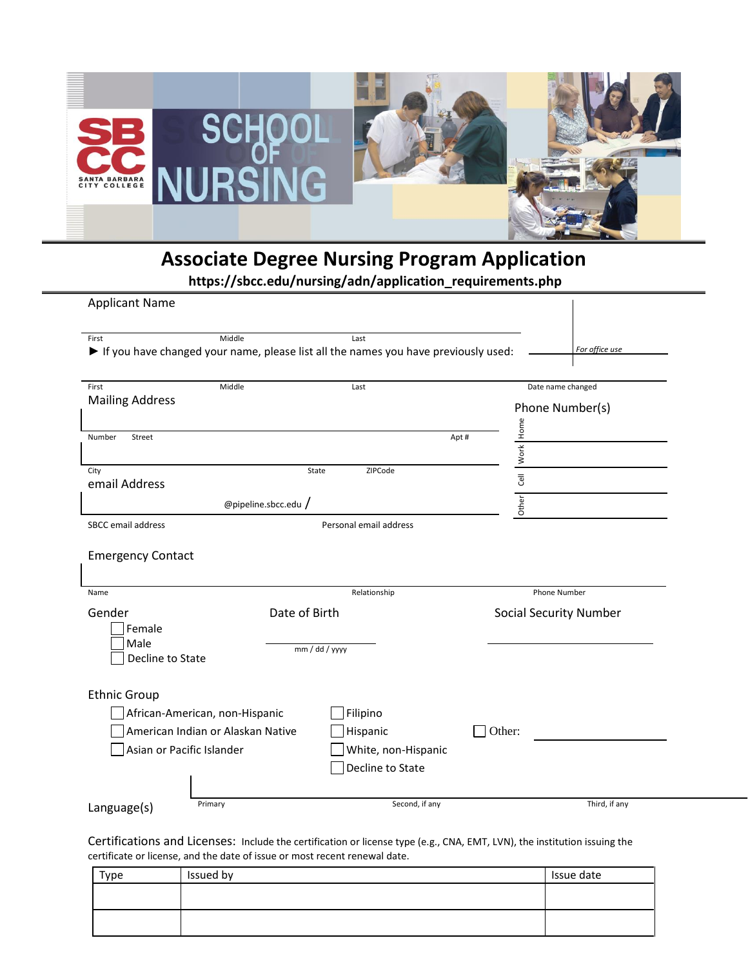

## **Associate Degree Nursing Program Application**

**https://sbcc.edu/nursing/adn/application\_requirements.php**

| First                                                | Middle               | Last                                                                               |                           |                               |
|------------------------------------------------------|----------------------|------------------------------------------------------------------------------------|---------------------------|-------------------------------|
|                                                      |                      | If you have changed your name, please list all the names you have previously used: |                           | For office use                |
| First                                                | Middle               | Last                                                                               |                           | Date name changed             |
| <b>Mailing Address</b>                               |                      |                                                                                    |                           | Phone Number(s)               |
| Number<br>Street                                     |                      |                                                                                    | Work Home<br>Apt#         |                               |
|                                                      |                      |                                                                                    |                           |                               |
| City<br>email Address                                | State                | ZIPCode                                                                            | $\overline{\overline{e}}$ |                               |
|                                                      | @pipeline.sbcc.edu / |                                                                                    | Other                     |                               |
| SBCC email address                                   |                      | Personal email address                                                             |                           |                               |
|                                                      |                      |                                                                                    |                           |                               |
|                                                      |                      | Relationship                                                                       |                           | Phone Number                  |
| <b>Emergency Contact</b><br>Name<br>Gender<br>Female | Date of Birth        |                                                                                    |                           | <b>Social Security Number</b> |
| Male<br>Decline to State                             |                      | mm / dd / yyyy                                                                     |                           |                               |
| <b>Ethnic Group</b>                                  |                      |                                                                                    |                           |                               |
| African-American, non-Hispanic                       |                      | Filipino                                                                           |                           |                               |
| American Indian or Alaskan Native                    |                      | Hispanic                                                                           | Other:                    |                               |
| Asian or Pacific Islander                            |                      | White, non-Hispanic                                                                |                           |                               |
|                                                      |                      | Decline to State                                                                   |                           |                               |

Certifications and Licenses: Include the certification or license type (e.g., CNA, EMT, LVN), the institution issuing the certificate or license, and the date of issue or most recent renewal date.

| Type | Issued by | Issue date |
|------|-----------|------------|
|      |           |            |
|      |           |            |
|      |           |            |
|      |           |            |